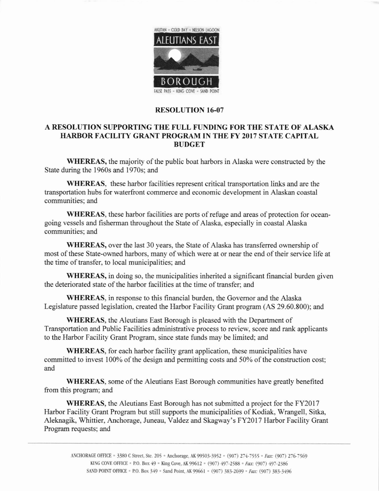

## RESOLUTION 16-07

## A RESOLUTION SUPPORTING THE FULL FUNDING FOR THE STATE OF ALASKA HARBOR FACILITY GRANT PROGRAM IN THE FY 2017 STATE CAPITAL BUDGET

WHEREAS, the majority of the public boat harbors in Alaska were constructed by the State during the 1960s and 1970s; and

WHEREAS, these harbor facilities represent critical transportation links and are the transportation hubs for waterfront commerce and economic development in Alaskan coastal communities; and

WHEREAS, these harbor facilities are ports of refuge and areas of protection for oceangoing vessels and fisherman throughout the State of Alaska, especially in coastal Alaska communities; and

WHEREAS, over the last 30 years, the State of Alaska has transferred ownership of most of these State-owned harbors, many of which were at or near the end of their service life at the time of transfer, to local municipalities; and

WHEREAS, in doing so, the municipalities inherited a significant financial burden given the deteriorated state of the harbor facilities at the time of transfer; and

WHEREAS, in response to this financial burden, the Governor and the Alaska Legislature passed legislation, created the Harbor Facility Grant program (AS 29.60.800); and

WHEREAS, the Aleutians East Borough is pleased with the Department of Transportation and Public Facilities administrative process to review, score and rank applicants to the Harbor Facility Grant Program, since state funds may be limited; and

WHEREAS, for each harbor facility grant application, these municipalities have committed to invest 100% of the design and permitting costs and 50% of the construction cost; and

WHEREAS, some of the Aleutians East Borough communities have greatly benefited fiom this program; and

WHEREAS, the Aleutians East Borough has not submitted a project for the FY2017 Harbor Facility Grant Program but still supports the municipalities of Kodiak, Wrangell, Sitka, Aleknagik, Whittier, Anchorage, Juneau, Valdez and Skagway's FY20l7 Harbor Facility Grant Program requests; and